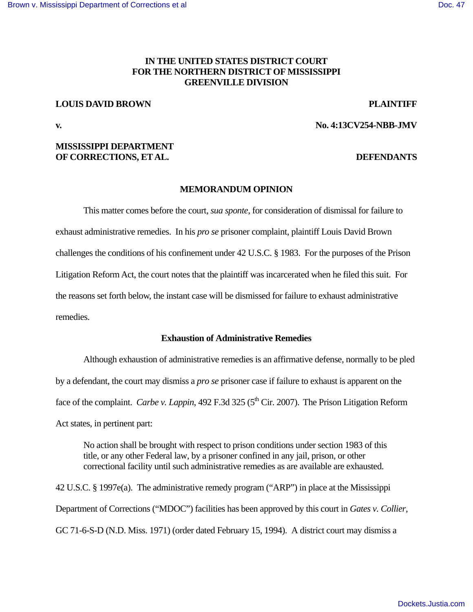# **IN THE UNITED STATES DISTRICT COURT FOR THE NORTHERN DISTRICT OF MISSISSIPPI GREENVILLE DIVISION**

# **LOUIS DAVID BROWN PLAINTIFF**

**v. No. 4:13CV254-NBB-JMV** 

## **MISSISSIPPI DEPARTMENT OF CORRECTIONS, ET AL. DEFENDANTS**

## **MEMORANDUM OPINION**

 This matter comes before the court, *sua sponte*, for consideration of dismissal for failure to exhaust administrative remedies. In his *pro se* prisoner complaint, plaintiff Louis David Brown challenges the conditions of his confinement under 42 U.S.C. § 1983. For the purposes of the Prison Litigation Reform Act, the court notes that the plaintiff was incarcerated when he filed this suit. For the reasons set forth below, the instant case will be dismissed for failure to exhaust administrative remedies.

#### **Exhaustion of Administrative Remedies**

Although exhaustion of administrative remedies is an affirmative defense, normally to be pled by a defendant, the court may dismiss a *pro se* prisoner case if failure to exhaust is apparent on the face of the complaint. *Carbe v. Lappin*, 492 F.3d 325 (5<sup>th</sup> Cir. 2007). The Prison Litigation Reform Act states, in pertinent part:

No action shall be brought with respect to prison conditions under section 1983 of this title, or any other Federal law, by a prisoner confined in any jail, prison, or other correctional facility until such administrative remedies as are available are exhausted.

42 U.S.C. § 1997e(a). The administrative remedy program ("ARP") in place at the Mississippi Department of Corrections ("MDOC") facilities has been approved by this court in *Gates v. Collier*, GC 71-6-S-D (N.D. Miss. 1971) (order dated February 15, 1994). A district court may dismiss a